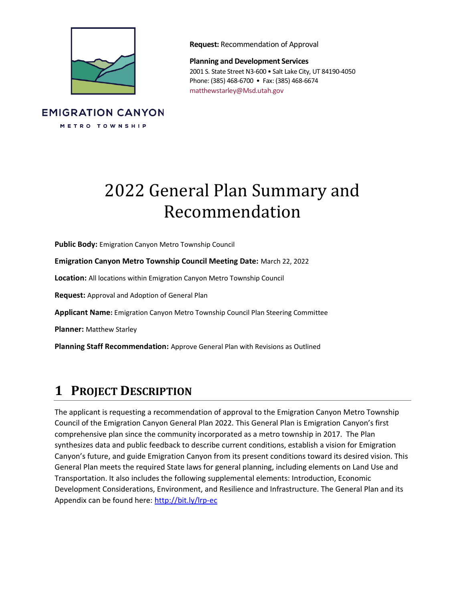

**Request:** Recommendation of Approval

**Planning and Development Services** 2001 S. State Street N3-600 • Salt Lake City, UT 84190-4050 Phone: (385) 468-6700 • Fax: (385) 468-6674 matthewstarley@Msd.utah.gov

### **EMIGRATION CANYON** METRO TOWNSHIP

# 2022 General Plan Summary and Recommendation

**Public Body:** Emigration Canyon Metro Township Council

**Emigration Canyon Metro Township Council Meeting Date:** March 22, 2022

**Location:** All locations within Emigration Canyon Metro Township Council

**Request:** Approval and Adoption of General Plan

**Applicant Name:** Emigration Canyon Metro Township Council Plan Steering Committee

**Planner:** Matthew Starley

**Planning Staff Recommendation:** Approve General Plan with Revisions as Outlined

# **1 PROJECT DESCRIPTION**

The applicant is requesting a recommendation of approval to the Emigration Canyon Metro Township Council of the Emigration Canyon General Plan 2022. This General Plan is Emigration Canyon's first comprehensive plan since the community incorporated as a metro township in 2017. The Plan synthesizes data and public feedback to describe current conditions, establish a vision for Emigration Canyon's future, and guide Emigration Canyon from its present conditions toward its desired vision. This General Plan meets the required State laws for general planning, including elements on Land Use and Transportation. It also includes the following supplemental elements: Introduction, Economic Development Considerations, Environment, and Resilience and Infrastructure. The General Plan and its Appendix can be found here:<http://bit.ly/lrp-ec>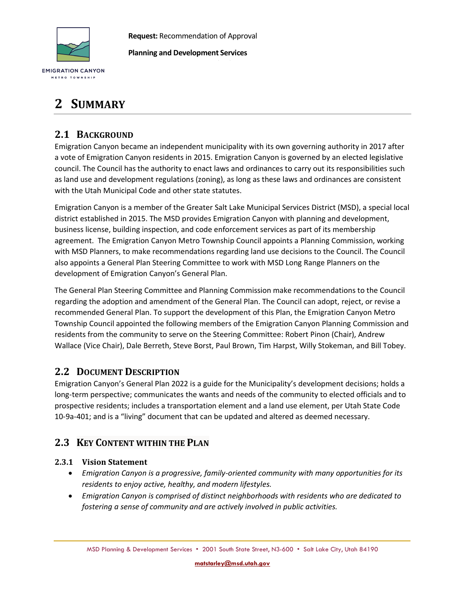

**Request:** Recommendation of Approval

**Planning and Development Services**

# **2 SUMMARY**

### **2.1 BACKGROUND**

Emigration Canyon became an independent municipality with its own governing authority in 2017 after a vote of Emigration Canyon residents in 2015. Emigration Canyon is governed by an elected legislative council. The Council has the authority to enact laws and ordinances to carry out its responsibilities such as land use and development regulations (zoning), as long as these laws and ordinances are consistent with the Utah Municipal Code and other state statutes.

Emigration Canyon is a member of the Greater Salt Lake Municipal Services District (MSD), a special local district established in 2015. The MSD provides Emigration Canyon with planning and development, business license, building inspection, and code enforcement services as part of its membership agreement. The Emigration Canyon Metro Township Council appoints a Planning Commission, working with MSD Planners, to make recommendations regarding land use decisions to the Council. The Council also appoints a General Plan Steering Committee to work with MSD Long Range Planners on the development of Emigration Canyon's General Plan.

The General Plan Steering Committee and Planning Commission make recommendations to the Council regarding the adoption and amendment of the General Plan. The Council can adopt, reject, or revise a recommended General Plan. To support the development of this Plan, the Emigration Canyon Metro Township Council appointed the following members of the Emigration Canyon Planning Commission and residents from the community to serve on the Steering Committee: Robert Pinon (Chair), Andrew Wallace (Vice Chair), Dale Berreth, Steve Borst, Paul Brown, Tim Harpst, Willy Stokeman, and Bill Tobey.

### **2.2 DOCUMENT DESCRIPTION**

Emigration Canyon's General Plan 2022 is a guide for the Municipality's development decisions; holds a long-term perspective; communicates the wants and needs of the community to elected officials and to prospective residents; includes a transportation element and a land use element, per Utah State Code 10-9a-401; and is a "living" document that can be updated and altered as deemed necessary.

### **2.3 KEY CONTENT WITHIN THE PLAN**

#### **2.3.1 Vision Statement**

- *Emigration Canyon is a progressive, family-oriented community with many opportunities for its residents to enjoy active, healthy, and modern lifestyles.*
- *Emigration Canyon is comprised of distinct neighborhoods with residents who are dedicated to fostering a sense of community and are actively involved in public activities.*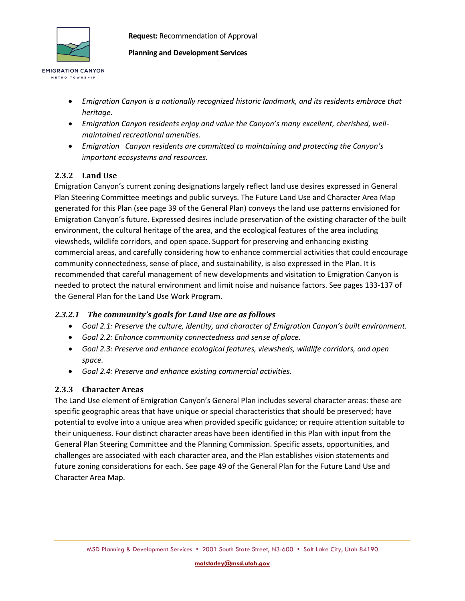

**EMIGRATION CANYON** METRO TOWNSHIP

**Request:** Recommendation of Approval

**Planning and Development Services**

- *Emigration Canyon is a nationally recognized historic landmark, and its residents embrace that heritage.*
- *Emigration Canyon residents enjoy and value the Canyon's many excellent, cherished, wellmaintained recreational amenities.*
- *Emigration Canyon residents are committed to maintaining and protecting the Canyon's important ecosystems and resources.*

#### **2.3.2 Land Use**

Emigration Canyon's current zoning designations largely reflect land use desires expressed in General Plan Steering Committee meetings and public surveys. The Future Land Use and Character Area Map generated for this Plan (see page 39 of the General Plan) conveys the land use patterns envisioned for Emigration Canyon's future. Expressed desires include preservation of the existing character of the built environment, the cultural heritage of the area, and the ecological features of the area including viewsheds, wildlife corridors, and open space. Support for preserving and enhancing existing commercial areas, and carefully considering how to enhance commercial activities that could encourage community connectedness, sense of place, and sustainability, is also expressed in the Plan. It is recommended that careful management of new developments and visitation to Emigration Canyon is needed to protect the natural environment and limit noise and nuisance factors. See pages 133-137 of the General Plan for the Land Use Work Program.

#### *2.3.2.1 The community's goals for Land Use are as follows*

- *Goal 2.1: Preserve the culture, identity, and character of Emigration Canyon's built environment.*
- *Goal 2.2: Enhance community connectedness and sense of place.*
- *Goal 2.3: Preserve and enhance ecological features, viewsheds, wildlife corridors, and open space.*
- *Goal 2.4: Preserve and enhance existing commercial activities.*

#### **2.3.3 Character Areas**

The Land Use element of Emigration Canyon's General Plan includes several character areas: these are specific geographic areas that have unique or special characteristics that should be preserved; have potential to evolve into a unique area when provided specific guidance; or require attention suitable to their uniqueness. Four distinct character areas have been identified in this Plan with input from the General Plan Steering Committee and the Planning Commission. Specific assets, opportunities, and challenges are associated with each character area, and the Plan establishes vision statements and future zoning considerations for each. See page 49 of the General Plan for the Future Land Use and Character Area Map.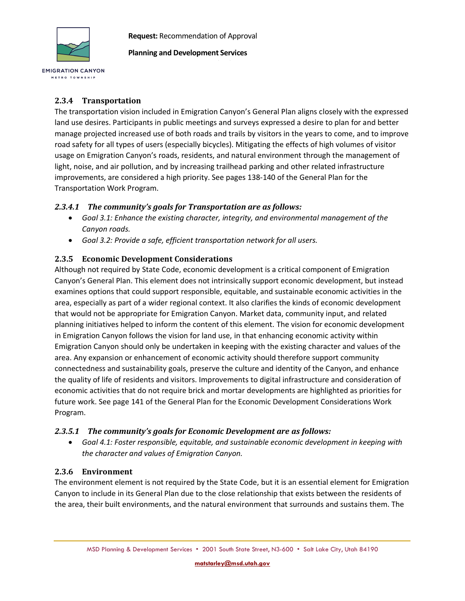

METRO TOWNSHIP

**Request:** Recommendation of Approval

**Planning and Development Services**

#### **2.3.4 Transportation**

The transportation vision included in Emigration Canyon's General Plan aligns closely with the expressed land use desires. Participants in public meetings and surveys expressed a desire to plan for and better manage projected increased use of both roads and trails by visitors in the years to come, and to improve road safety for all types of users (especially bicycles). Mitigating the effects of high volumes of visitor usage on Emigration Canyon's roads, residents, and natural environment through the management of light, noise, and air pollution, and by increasing trailhead parking and other related infrastructure improvements, are considered a high priority. See pages 138-140 of the General Plan for the Transportation Work Program.

#### *2.3.4.1 The community's goals for Transportation are as follows:*

- *Goal 3.1: Enhance the existing character, integrity, and environmental management of the Canyon roads.*
- *Goal 3.2: Provide a safe, efficient transportation network for all users.*

#### **2.3.5 Economic Development Considerations**

Although not required by State Code, economic development is a critical component of Emigration Canyon's General Plan. This element does not intrinsically support economic development, but instead examines options that could support responsible, equitable, and sustainable economic activities in the area, especially as part of a wider regional context. It also clarifies the kinds of economic development that would not be appropriate for Emigration Canyon. Market data, community input, and related planning initiatives helped to inform the content of this element. The vision for economic development in Emigration Canyon follows the vision for land use, in that enhancing economic activity within Emigration Canyon should only be undertaken in keeping with the existing character and values of the area. Any expansion or enhancement of economic activity should therefore support community connectedness and sustainability goals, preserve the culture and identity of the Canyon, and enhance the quality of life of residents and visitors. Improvements to digital infrastructure and consideration of economic activities that do not require brick and mortar developments are highlighted as priorities for future work. See page 141 of the General Plan for the Economic Development Considerations Work Program.

#### *2.3.5.1 The community's goals for Economic Development are as follows:*

• *Goal 4.1: Foster responsible, equitable, and sustainable economic development in keeping with the character and values of Emigration Canyon.*

#### **2.3.6 Environment**

The environment element is not required by the State Code, but it is an essential element for Emigration Canyon to include in its General Plan due to the close relationship that exists between the residents of the area, their built environments, and the natural environment that surrounds and sustains them. The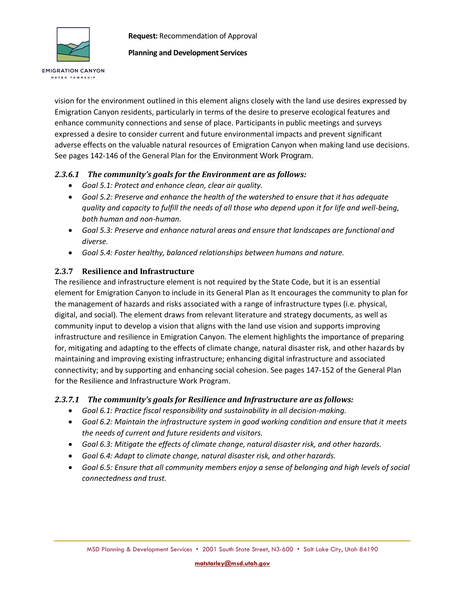

**EMIGRATION CANYON** METRO TOWNSHIP

**Request:** Recommendation of Approval

#### **Planning and Development Services**

vision for the environment outlined in this element aligns closely with the land use desires expressed by Emigration Canyon residents, particularly in terms of the desire to preserve ecological features and enhance community connections and sense of place. Participants in public meetings and surveys expressed a desire to consider current and future environmental impacts and prevent significant adverse effects on the valuable natural resources of Emigration Canyon when making land use decisions. See pages 142-146 of the General Plan for the Environment Work Program.

#### *2.3.6.1 The community's goals for the Environment are as follows:*

- *Goal 5.1: Protect and enhance clean, clear air quality.*
- *Goal 5.2: Preserve and enhance the health of the watershed to ensure that it has adequate quality and capacity to fulfill the needs of all those who depend upon it for life and well-being, both human and non-human.*
- *Goal 5.3: Preserve and enhance natural areas and ensure that landscapes are functional and diverse.*
- *Goal 5.4: Foster healthy, balanced relationships between humans and nature.*

#### **2.3.7 Resilience and Infrastructure**

The resilience and infrastructure element is not required by the State Code, but it is an essential element for Emigration Canyon to include in its General Plan as It encourages the community to plan for the management of hazards and risks associated with a range of infrastructure types (i.e. physical, digital, and social). The element draws from relevant literature and strategy documents, as well as community input to develop a vision that aligns with the land use vision and supports improving infrastructure and resilience in Emigration Canyon. The element highlights the importance of preparing for, mitigating and adapting to the effects of climate change, natural disaster risk, and other hazards by maintaining and improving existing infrastructure; enhancing digital infrastructure and associated connectivity; and by supporting and enhancing social cohesion. See pages 147-152 of the General Plan for the Resilience and Infrastructure Work Program.

#### *2.3.7.1 The community's goals for Resilience and Infrastructure are as follows:*

- *Goal 6.1: Practice fiscal responsibility and sustainability in all decision-making.*
- *Goal 6.2: Maintain the infrastructure system in good working condition and ensure that it meets the needs of current and future residents and visitors.*
- *Goal 6.3: Mitigate the effects of climate change, natural disaster risk, and other hazards.*
- *Goal 6.4: Adapt to climate change, natural disaster risk, and other hazards.*
- *Goal 6.5: Ensure that all community members enjoy a sense of belonging and high levels of social connectedness and trust.*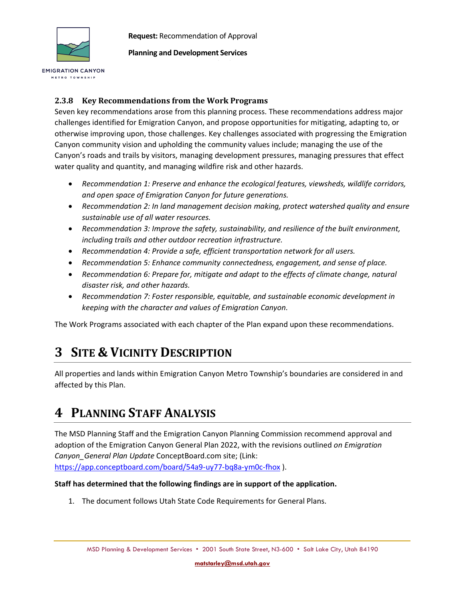

METRO TOWNSHIP

**Request:** Recommendation of Approval

**Planning and Development Services**

#### **2.3.8 Key Recommendations from the Work Programs**

Seven key recommendations arose from this planning process. These recommendations address major challenges identified for Emigration Canyon, and propose opportunities for mitigating, adapting to, or otherwise improving upon, those challenges. Key challenges associated with progressing the Emigration Canyon community vision and upholding the community values include; managing the use of the Canyon's roads and trails by visitors, managing development pressures, managing pressures that effect water quality and quantity, and managing wildfire risk and other hazards.

- *Recommendation 1: Preserve and enhance the ecological features, viewsheds, wildlife corridors, and open space of Emigration Canyon for future generations.*
- *Recommendation 2: In land management decision making, protect watershed quality and ensure sustainable use of all water resources.*
- *Recommendation 3: Improve the safety, sustainability, and resilience of the built environment, including trails and other outdoor recreation infrastructure.*
- *Recommendation 4: Provide a safe, efficient transportation network for all users.*
- *Recommendation 5: Enhance community connectedness, engagement, and sense of place.*
- *Recommendation 6: Prepare for, mitigate and adapt to the effects of climate change, natural disaster risk, and other hazards.*
- *Recommendation 7: Foster responsible, equitable, and sustainable economic development in keeping with the character and values of Emigration Canyon.*

The Work Programs associated with each chapter of the Plan expand upon these recommendations.

# **3 SITE & VICINITY DESCRIPTION**

All properties and lands within Emigration Canyon Metro Township's boundaries are considered in and affected by this Plan.

# **4 PLANNING STAFF ANALYSIS**

The MSD Planning Staff and the Emigration Canyon Planning Commission recommend approval and adoption of the Emigration Canyon General Plan 2022, with the revisions outlined *on Emigration Canyon\_General Plan Update* ConceptBoard.com site; (Link: <https://app.conceptboard.com/board/54a9-uy77-bq8a-ym0c-fhox> ).

#### **Staff has determined that the following findings are in support of the application.**

1. The document follows Utah State Code Requirements for General Plans.